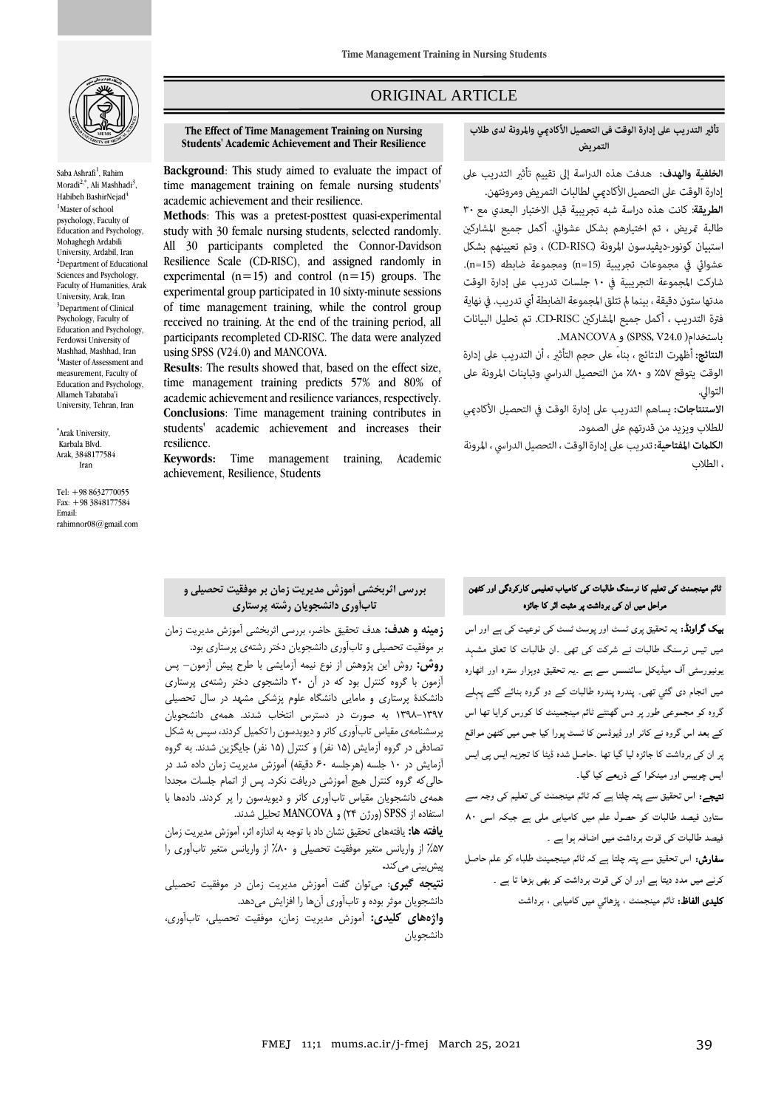

Saba Ashrafi<sup>1</sup>, Rahim Moradi<sup>2,\*</sup>, Ali Mashhadi<sup>3</sup>, Habibeh BashirNejad<sup>4</sup> <sup>1</sup>Master of school psychology, Faculty of Education and Psychology, Mohaghegh Ardabili University, Ardabil, Iran <sup>2</sup>Department of Educational Sciences and Psychology, Faculty of Humanities, Arak University, Arak, Iran <sup>3</sup>Department of Clinical Psychology, Faculty of Education and Psychology, Ferdowsi University of Mashhad, Mashhad, Iran <sup>4</sup>Master of Assessment and measurement, Faculty of Education and Psychology, Allameh Tabataba'i University, Tehran, Iran

\* Arak University, Karbala Blvd. Arak, 3848177584 Iran

Tel: +98 8632770055 Fax: +98 3848177584 Email: rahimnor08@gmail.com

## ORIGINAL ARTICLE

**The Effect of Time Management Training on Nursing Students' Academic Achievement and Their Resilience**

**Background**: This study aimed to evaluate the impact of time management training on female nursing students' academic achievement and their resilience.

**Methods**: This was a pretest-posttest quasi-experimental study with 30 female nursing students, selected randomly. All 30 participants completed the Connor-Davidson Resilience Scale (CD-RISC), and assigned randomly in experimental  $(n=15)$  and control  $(n=15)$  groups. The experimental group participated in 10 sixty-minute sessions of time management training, while the control group received no training. At the end of the training period, all participants recompleted CD-RISC. The data were analyzed using SPSS (V24.0) and MANCOVA.

**Results**: The results showed that, based on the effect size, time management training predicts 57% and 80% of academic achievement and resilience variances, respectively. **Conclusions**: Time management training contributes in students' academic achievement and increases their resilience.

**Keywords:** Time management training, Academic achievement, Resilience, Students

# تأثير التدريب على إدارة الوقت في التحصيل الأكادمي والمرونة لدى طلاب التمريض

ا**لخلفية والهدف:** هدفت هذه الدراسة إلى تقييم تأثير التدريب على

ص

إدارة الوقت على التحصيل الأكادمي لطالبات التمريض ومرونتهن. الطريقة: كانت هذه دراسة شبه تجريبية قبل الاختبار البعدى مع ٣٠ طالبة تمريض ، تم اختيارهم بشكل عشوائي. أكمل جميع المشاركين استبيان كونور-ديفيدسون المرونة (CD-RISC) ، وتم تعيينهم بشكل عشوائي في مجموعات تجريبية (n=15) ومجموعة ضابطه (n=15). شاركت المجموعة التجريبية في ١٠ جلسات تدريب على إدارة الوقت مدتها ستون دقيقة ، بينما لم تتلق المجموعة الضابطة أي تدريب. في نهاية فترة التدريب ، أكمل جميع المشاركين CD-RISC. تم تحليل البيانات باستخدام( SPSS, V24.0) و MANCOVA.

ا**لنتائج:** أظهرت النتائج ، بناءً على حجم التأثير ، أن التدريب على إدارة الوقت يتوقع ۵۷٪ و ۸۰٪ من التحصيل الدراسي وتباينات المرونة على التوالي.

الا**ستنتاجات:** يساهم التدريب على إدارة الوقت في التحصيل الأكاد<u>مى</u> للطلاب ويزيد من قدرتهم على الصمود.

الكلمات المفتاحية: تدريب على إدارة الوقت ، التحصيل الدراسي ، المرونة ، الطلاب

## **بررسی اثربخشی آموزش مدیریت زمان بر موفقیت تحصیلی و تابآوری دانشجویان رشته پرستاری**

**زمینه و هدف:** هدف تحقیق حاضر، بررسی اثربخشی آموزش مدیریت زمان بر موفقیت تحصیلی و تابآوری دانشجویان دختر رشتهی پرستاری بود.

**روش:** روش این پژوهش از نوع نیمه آزمایشی با طرح پیش آزمون– پس آزمون با گروه کنترل بود که در آن 30 دانشجوی دختر رشتهی پرستاری دانشکدۀ پرستاری و مامایی دانشگاه علوم پزشکی مشهد در سال تحصیلی 1398-1397 به صورت در دسترس انتخاب شدند. همهی دانشجویان پرسشنامهی مقیاس تابآوری کانر و دیویدسون را تکمیل کردند، سپس به شکل تصادفی در گروه آزمایش )15 نفر( و کنترل )15 نفر( جایگزین شدند. به گروه آزمایش در 10 جلسه )هرجلسه 60 دقیقه( آموزش مدیریت زمان داده شد در حالیکه گروه کنترل هیچ آموزشی دریافت نکرد. پس از اتمام جلسات مجددا همهی دانشجویان مقیاس تابآوری کانر و دیویدسون را پر کردند. دادهها با استفاده از SPSS( ورژن 24( و MANCOVA تحلیل شدند.

**یافته ها:** یافتههای تحقیق نشان داد با توجه به اندازه اثر، آموزش مدیریت زمان %57 از واریانس متغیر موفقیت تحصیلی و %80 از واریانس متغیر تابآوری را پیشبینی میکند**.** 

**نتیجه گیری**: میتوان گفت آموزش مدیریت زمان در موفقیت تحصیلی دانشجویان موثر بوده و تابآوری آنها را افزایش میدهد.

**واژههای کلیدی:** آموزش مدیریت زمان، موفقیت تحصیلی، تابآوری، دانشجویان

# ٹائم مینجمنٹ کی تعلیم کا نرسنگ طالبات کی کامیاب تعلیمی کارکردگی اور کٹھن مراحل میں ان کی برداشت پر مثبت اثر کا جائزہ

بیک گراونڈ: یہ تحقیق پری ٹسٹ اور پوسٹ ٹسٹ کی نوعیت کی ہے اور اس میں تیس نرسنگ طالبات نے شرکت کی تھی ۔ان طالبات کا تعلق مشہد یونیورسٹی ا ف میڈیکل سائںسس سے ہے ۔یہ تحقیق دوہزار سترہ اور اٹھارہ میں انجام دی گئي تھی۔ پندرہ پندرہ طالبات کے دو گروہ بنائے گئے پہلے گروہ کو مجموعی طور پر دس گھنٹے ٹائم مینجمینٹ کا کورس کرایا تھا اس کے بعد اس گروہ نے کانر اور ڈیوڈسن کا ٹسٹ پورا کیا جس میں کٹھن مواقع پر ان کی برداشت کا جائزہ لیا گیا تھا ۔حاصل شدہ ڈیٹا کا تجزیہ ایس پی ایس ایس چوبیس اور مینکوا کے ذریعے کیا گيا۔

نتیجے: اس تحقیق سے پتہ چلتا ہے کہ ٹائم مینجمنٹ کی تعلیم کی وجہ سے ستاون فیصد طالبات کو حصول علم میں کامیابی ملی ہے جبکہ اسی 80 فیصد طالبات کی قوت برداشت میں اضافہ ہوا ہے ۔

سفارش: اس تحقیق سے پتہ چلتا ہے کہ ٹائم مینجمینٹ طلباء کو علم حاصل کرنے میں مدد دیتا ہے اور ان کی قوت برداشت کو بھی بڑھا تا ہے ۔ کلیدی الفاظ: ٹائم مینجمنٹ ، پڑھائي میں کامیابی ، برداشت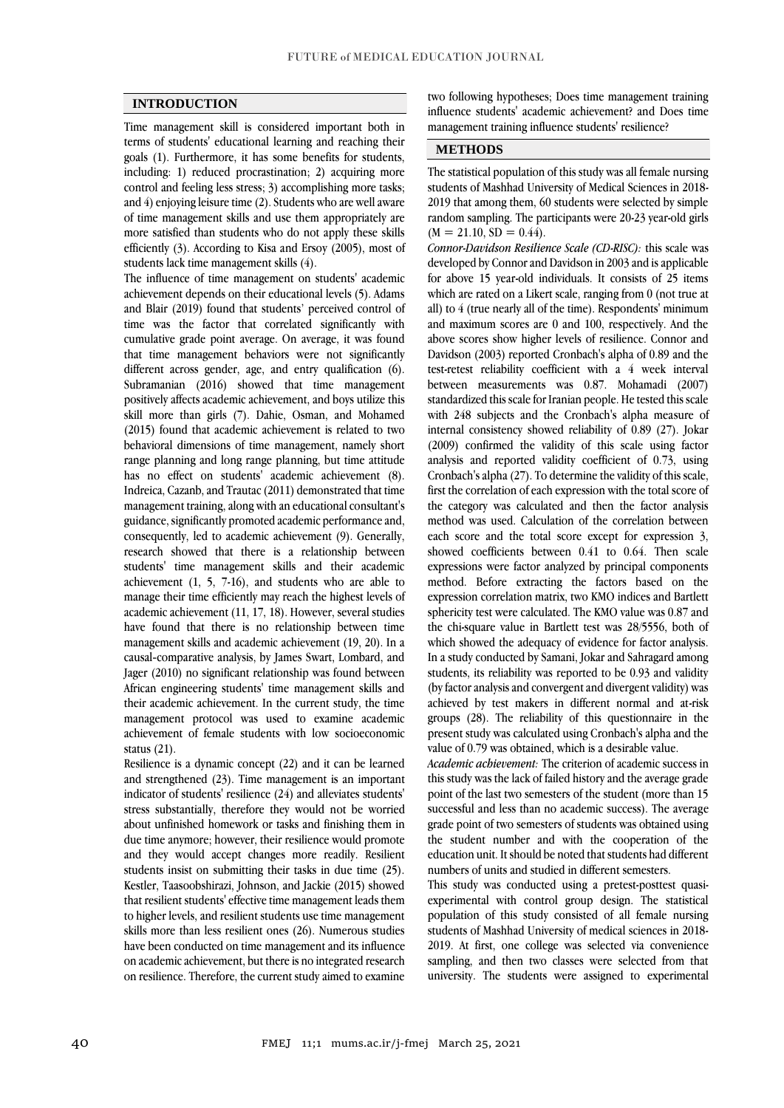#### **INTRODUCTION**

Time management skill is considered important both in terms of students' educational learning and reaching their goals (1). Furthermore, it has some benefits for students, including: 1) reduced procrastination; 2) acquiring more control and feeling less stress; 3) accomplishing more tasks; and 4) enjoying leisure time (2). Students who are well aware of time management skills and use them appropriately are more satisfied than students who do not apply these skills efficiently (3). According to Kisa and Ersoy (2005), most of students lack time management skills (4).

The influence of time management on students' academic achievement depends on their educational levels (5). Adams and Blair (2019) found that students' perceived control of time was the factor that correlated significantly with cumulative grade point average. On average, it was found that time management behaviors were not significantly different across gender, age, and entry qualification (6). Subramanian (2016) showed that time management positively affects academic achievement, and boys utilize this skill more than girls (7). Dahie, Osman, and Mohamed (2015) found that academic achievement is related to two behavioral dimensions of time management, namely short range planning and long range planning, but time attitude has no effect on students' academic achievement (8). Indreica, Cazanb, and Trautac (2011) demonstrated that time management training, along with an educational consultant's guidance, significantly promoted academic performance and, consequently, led to academic achievement (9). Generally, research showed that there is a relationship between students' time management skills and their academic achievement (1, 5, 7-16), and students who are able to manage their time efficiently may reach the highest levels of academic achievement (11, 17, 18). However, several studies have found that there is no relationship between time management skills and academic achievement (19, 20). In a causal-comparative analysis, by James Swart, Lombard, and Jager (2010) no significant relationship was found between African engineering students' time management skills and their academic achievement. In the current study, the time management protocol was used to examine academic achievement of female students with low socioeconomic status (21).

Resilience is a dynamic concept (22) and it can be learned and strengthened (23). Time management is an important indicator of students' resilience (24) and alleviates students' stress substantially, therefore they would not be worried about unfinished homework or tasks and finishing them in due time anymore; however, their resilience would promote and they would accept changes more readily. Resilient students insist on submitting their tasks in due time (25). Kestler, Taasoobshirazi, Johnson, and Jackie (2015) showed that resilient students' effective time management leads them to higher levels, and resilient students use time management skills more than less resilient ones (26). Numerous studies have been conducted on time management and its influence on academic achievement, but there is no integrated research on resilience. Therefore, the current study aimed to examine

two following hypotheses; Does time management training influence students' academic achievement? and Does time management training influence students' resilience?

## **METHODS**

The statistical population of this study was all female nursing students of Mashhad University of Medical Sciences in 2018- 2019 that among them, 60 students were selected by simple random sampling. The participants were 20-23 year-old girls  $(M = 21.10, SD = 0.44)$ .

*Connor-Davidson Resilience Scale (CD-RISC):* this scale was developed by Connor and Davidson in 2003 and is applicable for above 15 year-old individuals. It consists of 25 items which are rated on a Likert scale, ranging from 0 (not true at all) to 4 (true nearly all of the time). Respondents' minimum and maximum scores are 0 and 100, respectively. And the above scores show higher levels of resilience. Connor and Davidson (2003) reported Cronbach's alpha of 0.89 and the test-retest reliability coefficient with a 4 week interval between measurements was 0.87. Mohamadi (2007) standardized this scale for Iranian people. He tested this scale with 248 subjects and the Cronbach's alpha measure of internal consistency showed reliability of 0.89 (27). Jokar (2009) confirmed the validity of this scale using factor analysis and reported validity coefficient of 0.73, using Cronbach's alpha (27). To determine the validity of this scale, first the correlation of each expression with the total score of the category was calculated and then the factor analysis method was used. Calculation of the correlation between each score and the total score except for expression 3, showed coefficients between 0.41 to 0.64. Then scale expressions were factor analyzed by principal components method. Before extracting the factors based on the expression correlation matrix, two KMO indices and Bartlett sphericity test were calculated. The KMO value was 0.87 and the chi-square value in Bartlett test was 28/5556, both of which showed the adequacy of evidence for factor analysis. In a study conducted by Samani, Jokar and Sahragard among students, its reliability was reported to be 0.93 and validity (by factor analysis and convergent and divergent validity) was achieved by test makers in different normal and at-risk groups (28). The reliability of this questionnaire in the present study was calculated using Cronbach's alpha and the value of 0.79 was obtained, which is a desirable value.

*Academic achievement:* The criterion of academic success in this study was the lack of failed history and the average grade point of the last two semesters of the student (more than 15 successful and less than no academic success). The average grade point of two semesters of students was obtained using the student number and with the cooperation of the education unit. It should be noted that students had different numbers of units and studied in different semesters.

This study was conducted using a pretest-posttest quasiexperimental with control group design. The statistical population of this study consisted of all female nursing students of Mashhad University of medical sciences in 2018- 2019. At first, one college was selected via convenience sampling, and then two classes were selected from that university. The students were assigned to experimental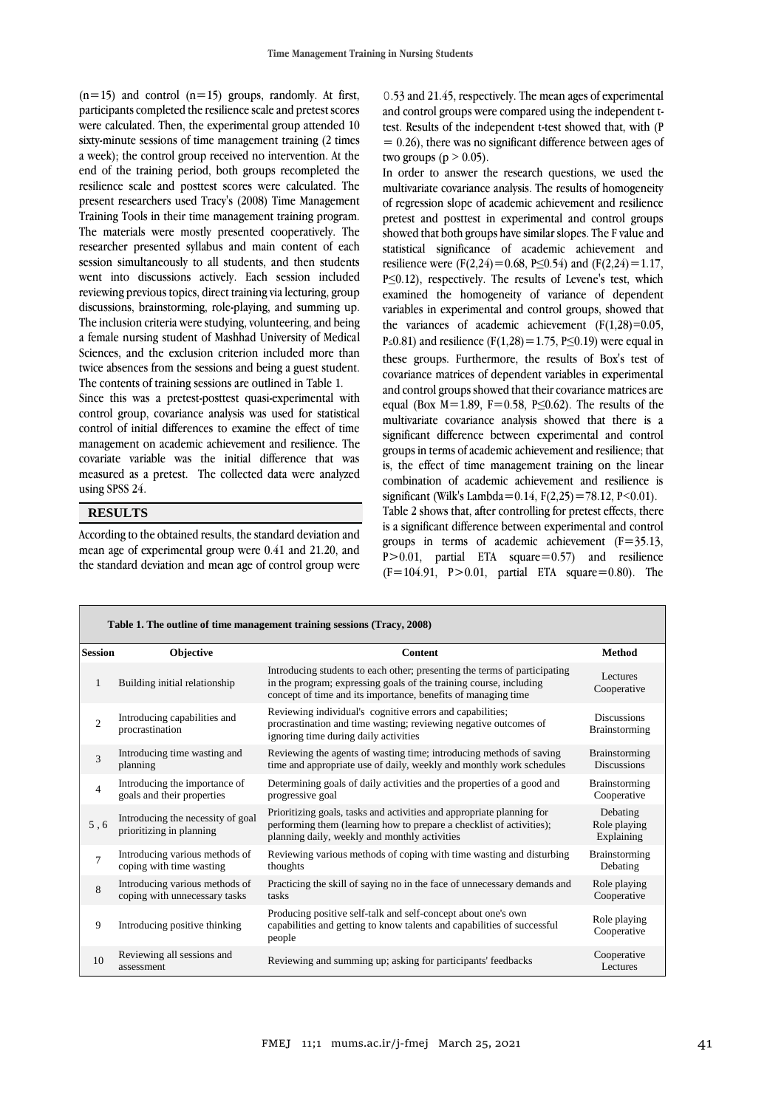$(n=15)$  and control  $(n=15)$  groups, randomly. At first, participants completed the resilience scale and pretest scores were calculated. Then, the experimental group attended 10 sixty-minute sessions of time management training (2 times a week); the control group received no intervention. At the end of the training period, both groups recompleted the resilience scale and posttest scores were calculated. The present researchers used Tracy's (2008) Time Management Training Tools in their time management training program. The materials were mostly presented cooperatively. The researcher presented syllabus and main content of each session simultaneously to all students, and then students went into discussions actively. Each session included reviewing previous topics, direct training via lecturing, group discussions, brainstorming, role-playing, and summing up. The inclusion criteria were studying, volunteering, and being a female nursing student of Mashhad University of Medical Sciences, and the exclusion criterion included more than twice absences from the sessions and being a guest student. The contents of training sessions are outlined in Table 1.

Since this was a pretest-posttest quasi-experimental with control group, covariance analysis was used for statistical control of initial differences to examine the effect of time management on academic achievement and resilience. The covariate variable was the initial difference that was measured as a pretest. The collected data were analyzed using SPSS 24.

#### **RESULTS**

According to the obtained results, the standard deviation and mean age of experimental group were 0.41 and 21.20, and the standard deviation and mean age of control group were

0.53 and 21.45, respectively. The mean ages of experimental and control groups were compared using the independent ttest. Results of the independent t-test showed that, with (P  $= 0.26$ ), there was no significant difference between ages of two groups ( $p > 0.05$ ).

In order to answer the research questions, we used the multivariate covariance analysis. The results of homogeneity of regression slope of academic achievement and resilience pretest and posttest in experimental and control groups showed that both groups have similar slopes. The F value and statistical significance of academic achievement and resilience were (F(2,24)=0.68, P≤0.54) and (F(2,24)=1.17, P≤0.12), respectively. The results of Levene's test, which examined the homogeneity of variance of dependent variables in experimental and control groups, showed that the variances of academic achievement  $(F(1,28)=0.05)$ , P≤0.81) and resilience (F(1,28) = 1.75, P≤0.19) were equal in these groups. Furthermore, the results of Box's test of covariance matrices of dependent variables in experimental and control groups showed that their covariance matrices are equal (Box  $M=1.89$ , F=0.58, P $\leq$ 0.62). The results of the multivariate covariance analysis showed that there is a significant difference between experimental and control groups in terms of academic achievement and resilience; that is, the effect of time management training on the linear combination of academic achievement and resilience is significant (Wilk's Lambda=0.14,  $F(2,25) = 78.12$ , P<0.01). Table 2 shows that, after controlling for pretest effects, there is a significant difference between experimental and control groups in terms of academic achievement  $(F=35.13)$ , P>0.01, partial ETA square=0.57) and resilience  $(F=104.91, P>0.01, partial ETA square=0.80)$ . The

| Table 1. The outline of time management training sessions (Tracy, 2008) |                                                                 |                                                                                                                                                                                                                  |                                        |  |  |  |  |  |  |  |
|-------------------------------------------------------------------------|-----------------------------------------------------------------|------------------------------------------------------------------------------------------------------------------------------------------------------------------------------------------------------------------|----------------------------------------|--|--|--|--|--|--|--|
| <b>Session</b>                                                          | <b>Objective</b>                                                | <b>Content</b>                                                                                                                                                                                                   | <b>Method</b>                          |  |  |  |  |  |  |  |
| 1                                                                       | Building initial relationship                                   | Introducing students to each other; presenting the terms of participating<br>in the program; expressing goals of the training course, including<br>concept of time and its importance, benefits of managing time | Lectures<br>Cooperative                |  |  |  |  |  |  |  |
| $\overline{c}$                                                          | Introducing capabilities and<br>procrastination                 | Reviewing individual's cognitive errors and capabilities;<br>procrastination and time wasting; reviewing negative outcomes of<br>ignoring time during daily activities                                           | <b>Discussions</b><br>Brainstorming    |  |  |  |  |  |  |  |
| 3                                                                       | Introducing time wasting and<br>planning                        | Reviewing the agents of wasting time; introducing methods of saving<br>time and appropriate use of daily, weekly and monthly work schedules                                                                      | Brainstorming<br><b>Discussions</b>    |  |  |  |  |  |  |  |
| $\overline{4}$                                                          | Introducing the importance of<br>goals and their properties     | Determining goals of daily activities and the properties of a good and<br>progressive goal                                                                                                                       | <b>Brainstorming</b><br>Cooperative    |  |  |  |  |  |  |  |
| 5, 6                                                                    | Introducing the necessity of goal<br>prioritizing in planning   | Prioritizing goals, tasks and activities and appropriate planning for<br>performing them (learning how to prepare a checklist of activities);<br>planning daily, weekly and monthly activities                   | Debating<br>Role playing<br>Explaining |  |  |  |  |  |  |  |
| $\overline{7}$                                                          | Introducing various methods of<br>coping with time wasting      | Reviewing various methods of coping with time wasting and disturbing<br>thoughts                                                                                                                                 | <b>Brainstorming</b><br>Debating       |  |  |  |  |  |  |  |
| 8                                                                       | Introducing various methods of<br>coping with unnecessary tasks | Practicing the skill of saying no in the face of unnecessary demands and<br>tasks                                                                                                                                | Role playing<br>Cooperative            |  |  |  |  |  |  |  |
| 9                                                                       | Introducing positive thinking                                   | Producing positive self-talk and self-concept about one's own<br>capabilities and getting to know talents and capabilities of successful<br>people                                                               | Role playing<br>Cooperative            |  |  |  |  |  |  |  |
| 10                                                                      | Reviewing all sessions and<br>assessment                        | Reviewing and summing up; asking for participants' feedbacks                                                                                                                                                     | Cooperative<br>Lectures                |  |  |  |  |  |  |  |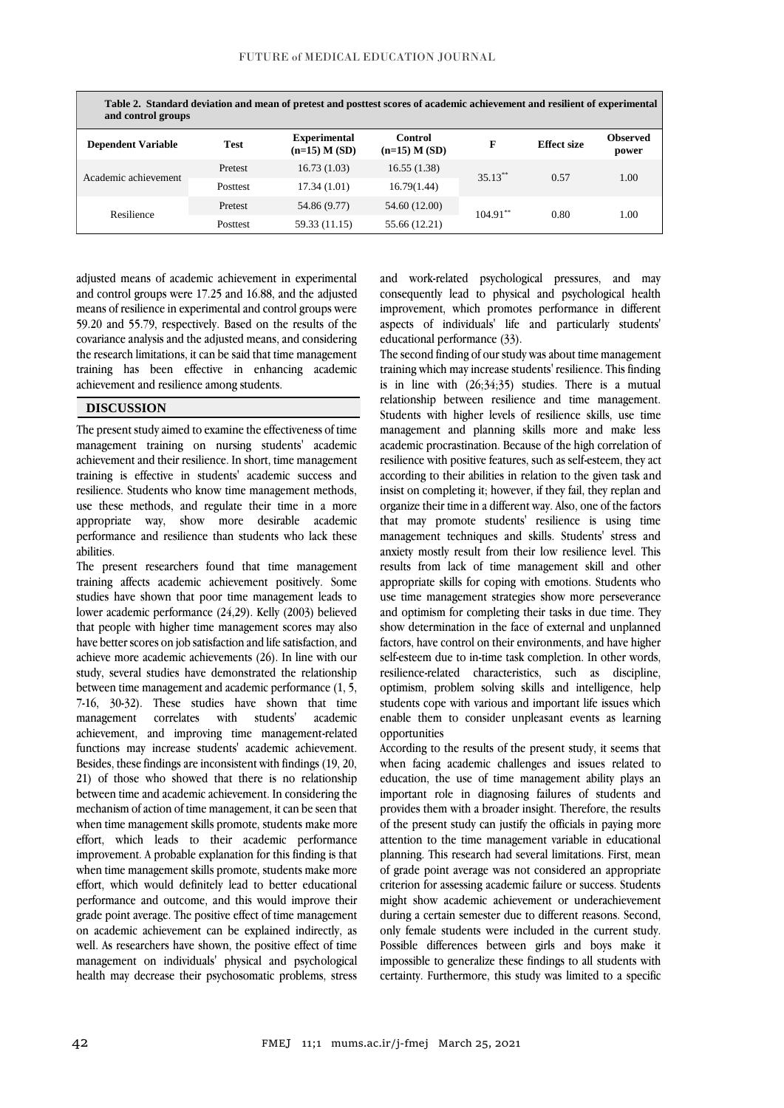| Table 2. Standard deviation and mean of pretest and posttest scores of academic achievement and resilient of experimental<br>and control groups |                 |                                          |                              |            |                    |                          |  |  |  |
|-------------------------------------------------------------------------------------------------------------------------------------------------|-----------------|------------------------------------------|------------------------------|------------|--------------------|--------------------------|--|--|--|
| <b>Dependent Variable</b>                                                                                                                       | <b>Test</b>     | <b>Experimental</b><br>$(n=15)$ M $(SD)$ | Control<br>$(n=15)$ M $(SD)$ | F          | <b>Effect size</b> | <b>Observed</b><br>power |  |  |  |
| Academic achievement                                                                                                                            | Pretest         | 16.73(1.03)                              | 16.55(1.38)                  | $35.13***$ | 0.57               | 1.00                     |  |  |  |
|                                                                                                                                                 | <b>Posttest</b> | 17.34(1.01)                              | 16.79(1.44)                  |            |                    |                          |  |  |  |
| Resilience                                                                                                                                      | Pretest         | 54.86 (9.77)                             | 54.60 (12.00)                | $104.91**$ | 0.80               | 1.00                     |  |  |  |
|                                                                                                                                                 | Posttest        | 59.33 (11.15)                            | 55.66 (12.21)                |            |                    |                          |  |  |  |

adjusted means of academic achievement in experimental and control groups were 17.25 and 16.88, and the adjusted means of resilience in experimental and control groups were 59.20 and 55.79, respectively. Based on the results of the covariance analysis and the adjusted means, and considering the research limitations, it can be said that time management training has been effective in enhancing academic achievement and resilience among students.

## **DISCUSSION**

The present study aimed to examine the effectiveness of time management training on nursing students' academic achievement and their resilience. In short, time management training is effective in students' academic success and resilience. Students who know time management methods, use these methods, and regulate their time in a more appropriate way, show more desirable academic performance and resilience than students who lack these abilities.

The present researchers found that time management training affects academic achievement positively. Some studies have shown that poor time management leads to lower academic performance (24,29). Kelly (2003) believed that people with higher time management scores may also have better scores on job satisfaction and life satisfaction, and achieve more academic achievements (26). In line with our study, several studies have demonstrated the relationship between time management and academic performance (1, 5, 7-16, 30-32). These studies have shown that time management correlates with students' academic achievement, and improving time management-related functions may increase students' academic achievement. Besides, these findings are inconsistent with findings (19, 20, 21) of those who showed that there is no relationship between time and academic achievement. In considering the mechanism of action of time management, it can be seen that when time management skills promote, students make more effort, which leads to their academic performance improvement. A probable explanation for this finding is that when time management skills promote, students make more effort, which would definitely lead to better educational performance and outcome, and this would improve their grade point average. The positive effect of time management on academic achievement can be explained indirectly, as well. As researchers have shown, the positive effect of time management on individuals' physical and psychological health may decrease their psychosomatic problems, stress

and work-related psychological pressures, and may consequently lead to physical and psychological health improvement, which promotes performance in different aspects of individuals' life and particularly students' educational performance (33).

The second finding of our study was about time management training which may increase students' resilience. This finding is in line with  $(26:34:35)$  studies. There is a mutual relationship between resilience and time management. Students with higher levels of resilience skills, use time management and planning skills more and make less academic procrastination. Because of the high correlation of resilience with positive features, such as self-esteem, they act according to their abilities in relation to the given task and insist on completing it; however, if they fail, they replan and organize their time in a different way. Also, one of the factors that may promote students' resilience is using time management techniques and skills. Students' stress and anxiety mostly result from their low resilience level. This results from lack of time management skill and other appropriate skills for coping with emotions. Students who use time management strategies show more perseverance and optimism for completing their tasks in due time. They show determination in the face of external and unplanned factors, have control on their environments, and have higher self-esteem due to in-time task completion. In other words, resilience-related characteristics, such as discipline, optimism, problem solving skills and intelligence, help students cope with various and important life issues which enable them to consider unpleasant events as learning opportunities

According to the results of the present study, it seems that when facing academic challenges and issues related to education, the use of time management ability plays an important role in diagnosing failures of students and provides them with a broader insight. Therefore, the results of the present study can justify the officials in paying more attention to the time management variable in educational planning. This research had several limitations. First, mean of grade point average was not considered an appropriate criterion for assessing academic failure or success. Students might show academic achievement or underachievement during a certain semester due to different reasons. Second, only female students were included in the current study. Possible differences between girls and boys make it impossible to generalize these findings to all students with certainty. Furthermore, this study was limited to a specific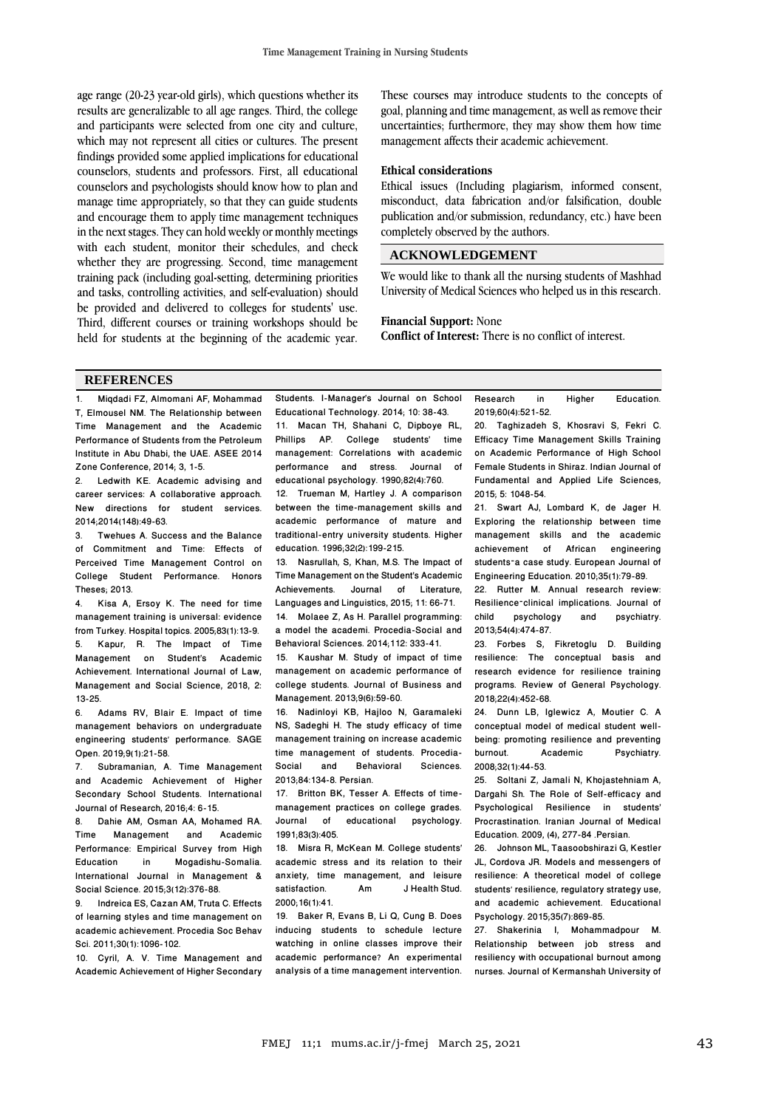age range (20-23 year-old girls), which questions whether its results are generalizable to all age ranges. Third, the college and participants were selected from one city and culture, which may not represent all cities or cultures. The present findings provided some applied implications for educational counselors, students and professors. First, all educational counselors and psychologists should know how to plan and manage time appropriately, so that they can guide students and encourage them to apply time management techniques in the next stages. They can hold weekly or monthly meetings with each student, monitor their schedules, and check whether they are progressing. Second, time management training pack (including goal-setting, determining priorities and tasks, controlling activities, and self-evaluation) should be provided and delivered to colleges for students' use. Third, different courses or training workshops should be held for students at the beginning of the academic year.

These courses may introduce students to the concepts of goal, planning and time management, as well as remove their uncertainties; furthermore, they may show them how time management affects their academic achievement.

#### **Ethical considerations**

Ethical issues (Including plagiarism, informed consent, misconduct, data fabrication and/or falsification, double publication and/or submission, redundancy, etc.) have been completely observed by the authors.

## **ACKNOWLEDGEMENT**

We would like to thank all the nursing students of Mashhad University of Medical Sciences who helped us in this research.

## **Financial Support:** None

**Conflict of Interest:** There is no conflict of interest.

#### **REFERENCES**

1. Miqdadi FZ, Almomani AF, Mohammad T, Elmousel NM. The Relationship between Time Management and the Academic Performance of Students from the Petroleum Institute in Abu Dhabi, the UAE. ASEE 2014

Zone Conference, 2014; 3, 1-5.<br>2 Ledwith KF Academic Ledwith KE. Academic advising and career services: A collaborative approach. New directions for student services. 2014;2014(148):49-63.

Twehues A. Success and the Balance of Commitment and Time: Effects of Perceived Time Management Control on<br>College Student Performance Honors College Student Performance Theses; 2013.

4. Kisa A, Ersoy K. The need for time management training is universal: evidence from Turkey. Hospital topics. 2005;83(1):13-9. 5. Kapur, R. The Impact of Time Management on Student's Academic Achievement. International Journal of Law, Management and Social Science, 2018, 2:  $13-25.$ <br>6.  $\neq$ 

6. Adams RV, Blair E. Impact of time management behaviors on undergraduate engineering students' performance. SAGE Open. 2019;9(1):21-58.

7. Subramanian, A. Time Management and Academic Achievement of Higher Secondary School Students. International Journal of Research, 2016;4: 6-15.

8. Dahie AM, Osman AA, Mohamed RA.<br>Time Management and Academic **Management** Performance: Empirical Survey from High Mogadishu-Somalia International Journal in Management & Social Science. 2015;3(12):376-88.

9. Indreica ES, Cazan AM, Truta C. Effects of learning styles and time management on academic achievement. Procedia Soc Behav Sci. 2011;30(1):1096-102.

10. Cyril, A. V. Time Management and Academic Achievement of Higher Secondary Students. I-Manager's Journal on School Educational Technology. 2014; 10: 38-43. 11. Macan TH, Shahani C, Dipboye RL, Phillips AP. College students' time management: Correlations with academic<br>nerformance and stress Journal of performance and stress. Journal educational psychology. 1990;82(4):760. 12. Trueman M, Hartley J. A comparison between the time-management skills and academic performance of mature and traditional-entry university students. Higher education. 1996;32(2):199-215.

13. Nasrullah, S, Khan, M.S. The Impact of Time Management on the Student's Academic Achievements. Journal of Literature, Languages and Linguistics, 2015; 11: 66-71. 14. Molaee Z, As H. Parallel programming:

a model the academi. Procedia-Social and Behavioral Sciences. 2014;112: 333-41.

15. Kaushar M. Study of impact of time management on academic performance of college students. Journal of Business and Management. 2013;9(6):59-60.

16. Nadinloyi KB, Hajloo N, Garamaleki NS, Sadeghi H. The study efficacy of time management training on increase academic time management of students. Procedia-<br>Social and Behavioral Sciences **Behavioral** 2013;84:134-8. Persian.

17. Britton BK, Tesser A. Effects of timemanagement practices on college grades.<br>Journal of educational psychology of educational psychology 1991;83(3):405.

18. Misra R, McKean M. College students' academic stress and its relation to their anxiety, time management, and leisure<br>satisfaction am JHealth Stud satisfaction. Am J Health Stud. 2000;16(1):41.

19. Baker R, Evans B, Li Q, Cung B. Does inducing students to schedule lecture watching in online classes improve their academic performance? An experimental analysis of a time management intervention. Research in Higher Education. 2019;60(4):521-52.

20. Taghizadeh S, Khosravi S, Fekri C. Efficacy Time Management Skills Training on Academic Performance of High School Female Students in Shiraz. Indian Journal of Fundamental and Applied Life Sciences, 2015; 5: 1048-54.

21. Swart AJ, Lombard K, de Jager H. Exploring the relationship between time management skills and the academic achievement of African engineering students–a case study. European Journal of Engineering Education. 2010;35(1):79-89.

22. Rutter M. Annual research review: Resilience-clinical implications. Journal of<br>child psychology and psychiatry. psychology 2013;54(4):474-87.

23. Forbes S, Fikretoglu D. Building resilience: The conceptual basis and research evidence for resilience training programs. Review of General Psychology. 2018;22(4):452-68.

24. Dunn LB, Iglewicz A, Moutier C. A conceptual model of medical student wellbeing: promoting resilience and preventing<br>burnout. Academic Psychiatry. Academic 2008;32(1):44-53.

25. Soltani Z, Jamali N, Khojastehniam A, Dargahi Sh. The Role of Self-efficacy and Psychological Resilience in students' Procrastination. Iranian Journal of Medical Education. 2009, (4), 277-84 .Persian.

26. Johnson ML, Taasoobshirazi G, Kestler JL, Cordova JR. Models and messengers of resilience: A theoretical model of college students' resilience, regulatory strategy use, and academic achievement. Educational Psychology. 2015;35(7):869-85.

27. Shakerinia I, Mohammadpour M. Relationship between job stress and resiliency with occupational burnout among nurses. Journal of Kermanshah University of